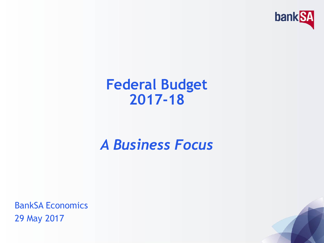

#### **Federal Budget 2017-18**

#### *A Business Focus*

BankSA Economics 29 May 2017

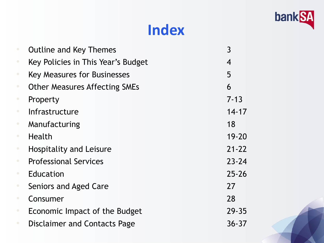

#### **Index**

|           | <b>Outline and Key Themes</b>        | $\overline{3}$ |
|-----------|--------------------------------------|----------------|
| $\bullet$ | Key Policies in This Year's Budget   | $\overline{4}$ |
| $\bullet$ | <b>Key Measures for Businesses</b>   | 5              |
| $\bullet$ | <b>Other Measures Affecting SMEs</b> | 6              |
| $\bullet$ | Property                             | $7 - 13$       |
| $\bullet$ | Infrastructure                       | $14 - 17$      |
| $\bullet$ | Manufacturing                        | 18             |
| $\bullet$ | Health                               | $19 - 20$      |
| $\bullet$ | <b>Hospitality and Leisure</b>       | $21 - 22$      |
| $\bullet$ | <b>Professional Services</b>         | $23 - 24$      |
| $\bullet$ | Education                            | $25 - 26$      |
| $\bullet$ | Seniors and Aged Care                | 27             |
| $\bullet$ | Consumer                             | 28             |
| $\bullet$ | Economic Impact of the Budget        | $29 - 35$      |
| $\bullet$ | <b>Disclaimer and Contacts Page</b>  | $36 - 37$      |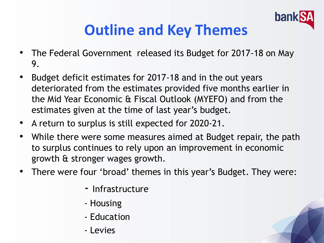

#### **Outline and Key Themes**

- The Federal Government released its Budget for 2017-18 on May 9.
- Budget deficit estimates for 2017-18 and in the out years deteriorated from the estimates provided five months earlier in the Mid Year Economic & Fiscal Outlook (MYEFO) and from the estimates given at the time of last year's budget.
- A return to surplus is still expected for 2020-21.
- While there were some measures aimed at Budget repair, the path to surplus continues to rely upon an improvement in economic growth & stronger wages growth.
- There were four 'broad' themes in this year's Budget. They were:
	- Infrastructure
	- Housing
	- Education
	- Levies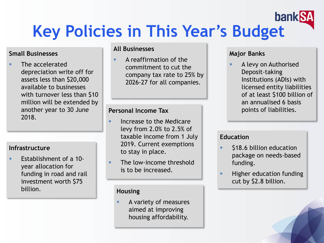#### **bankS Key Policies in This Year's Budget**

#### **Small Businesses**

 The accelerated depreciation write off for assets less than \$20,000 available to businesses with turnover less than \$10 million will be extended by another year to 30 June 2018.

#### **Infrastructure**

 Establishment of a 10 year allocation for funding in road and rail investment worth \$75 billion. **Housing** 

#### **All Businesses**

 A reaffirmation of the commitment to cut the company tax rate to 25% by 2026-27 for all companies.

#### **Personal Income Tax**

- **Increase to the Medicare** levy from 2.0% to 2.5% of taxable income from 1 July 2019. Current exemptions to stay in place.
- **The low-income threshold** is to be increased.

 A variety of measures aimed at improving housing affordability.

#### **Major Banks**

 A levy on Authorised Deposit-taking Institutions (ADIs) with licensed entity liabilities of at least \$100 billion of an annualised 6 basis points of liabilities.

#### **Education**

- \$18.6 billion education package on needs-based funding.
- Higher education funding cut by \$2.8 billion.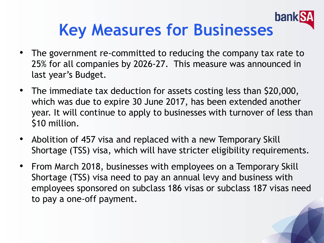#### **banl Key Measures for Businesses**

- The government re-committed to reducing the company tax rate to 25% for all companies by 2026-27. This measure was announced in last year's Budget.
- The immediate tax deduction for assets costing less than \$20,000, which was due to expire 30 June 2017, has been extended another year. It will continue to apply to businesses with turnover of less than \$10 million.
- Abolition of 457 visa and replaced with a new Temporary Skill Shortage (TSS) visa, which will have stricter eligibility requirements.
- From March 2018, businesses with employees on a Temporary Skill Shortage (TSS) visa need to pay an annual levy and business with employees sponsored on subclass 186 visas or subclass 187 visas need to pay a one-off payment.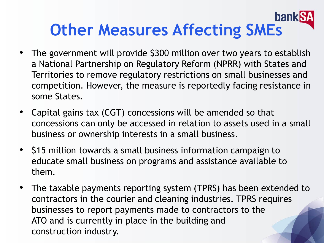#### **ban Other Measures Affecting SMEs**

- The government will provide \$300 million over two years to establish a National Partnership on Regulatory Reform (NPRR) with States and Territories to remove regulatory restrictions on small businesses and competition. However, the measure is reportedly facing resistance in some States.
- Capital gains tax (CGT) concessions will be amended so that concessions can only be accessed in relation to assets used in a small business or ownership interests in a small business.
- \$15 million towards a small business information campaign to educate small business on programs and assistance available to them.
- The taxable payments reporting system (TPRS) has been extended to contractors in the courier and cleaning industries. TPRS requires businesses to report payments made to contractors to the ATO and is currently in place in the building and construction industry.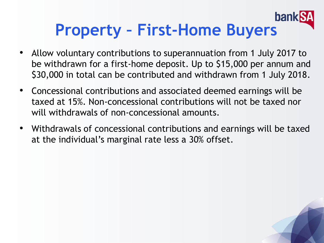#### **bank Property – First-Home Buyers**

- Allow voluntary contributions to superannuation from 1 July 2017 to be withdrawn for a first-home deposit. Up to \$15,000 per annum and \$30,000 in total can be contributed and withdrawn from 1 July 2018.
- Concessional contributions and associated deemed earnings will be taxed at 15%. Non-concessional contributions will not be taxed nor will withdrawals of non-concessional amounts.
- Withdrawals of concessional contributions and earnings will be taxed at the individual's marginal rate less a 30% offset.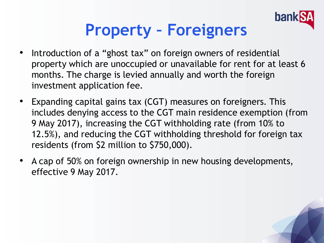

### **Property – Foreigners**

- Introduction of a "ghost tax" on foreign owners of residential property which are unoccupied or unavailable for rent for at least 6 months. The charge is levied annually and worth the foreign investment application fee.
- Expanding capital gains tax (CGT) measures on foreigners. This includes denying access to the CGT main residence exemption (from 9 May 2017), increasing the CGT withholding rate (from 10% to 12.5%), and reducing the CGT withholding threshold for foreign tax residents (from \$2 million to \$750,000).
- A cap of 50% on foreign ownership in new housing developments, effective 9 May 2017.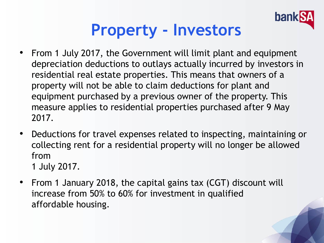

### **Property - Investors**

- From 1 July 2017, the Government will limit plant and equipment depreciation deductions to outlays actually incurred by investors in residential real estate properties. This means that owners of a property will not be able to claim deductions for plant and equipment purchased by a previous owner of the property. This measure applies to residential properties purchased after 9 May 2017.
- Deductions for travel expenses related to inspecting, maintaining or collecting rent for a residential property will no longer be allowed from
	- 1 July 2017.
- From 1 January 2018, the capital gains tax (CGT) discount will increase from 50% to 60% for investment in qualified affordable housing.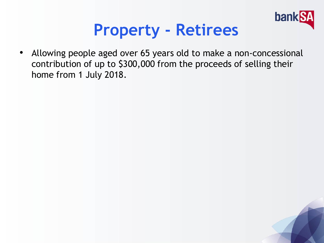

#### **Property - Retirees**

• Allowing people aged over 65 years old to make a non-concessional contribution of up to \$300,000 from the proceeds of selling their home from 1 July 2018.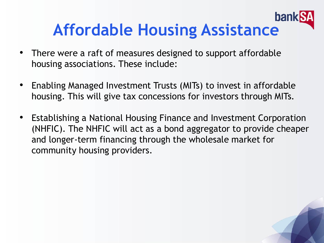

- There were a raft of measures designed to support affordable housing associations. These include:
- Enabling Managed Investment Trusts (MITs) to invest in affordable housing. This will give tax concessions for investors through MITs.
- Establishing a National Housing Finance and Investment Corporation (NHFIC). The NHFIC will act as a bond aggregator to provide cheaper and longer-term financing through the wholesale market for community housing providers.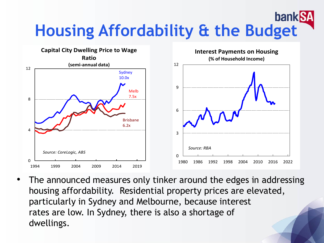#### **bankS Housing Affordability & the Budget**



The announced measures only tinker around the edges in addressing housing affordability. Residential property prices are elevated, particularly in Sydney and Melbourne, because interest rates are low. In Sydney, there is also a shortage of dwellings.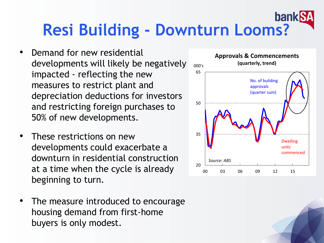#### **bank Resi Building - Downturn Looms?**

- Demand for new residential developments will likely be negatively impacted - reflecting the new measures to restrict plant and depreciation deductions for investors and restricting foreign purchases to 50% of new developments.
- These restrictions on new developments could exacerbate a downturn in residential construction at a time when the cycle is already beginning to turn.
- The measure introduced to encourage housing demand from first-home buyers is only modest.

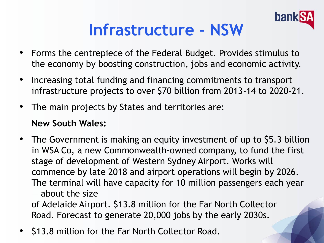

### **Infrastructure - NSW**

- Forms the centrepiece of the Federal Budget. Provides stimulus to the economy by boosting construction, jobs and economic activity.
- Increasing total funding and financing commitments to transport infrastructure projects to over \$70 billion from 2013-14 to 2020-21.
- The main projects by States and territories are:

#### **New South Wales:**

• The Government is making an equity investment of up to \$5.3 billion in WSA Co, a new Commonwealth-owned company, to fund the first stage of development of Western Sydney Airport. Works will commence by late 2018 and airport operations will begin by 2026. The terminal will have capacity for 10 million passengers each year — about the size

of Adelaide Airport. \$13.8 million for the Far North Collector Road. Forecast to generate 20,000 jobs by the early 2030s.

• \$13.8 million for the Far North Collector Road.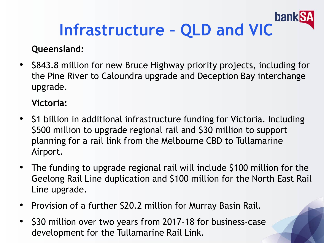#### **bank Infrastructure – QLD and VIC**

#### **Queensland:**

• \$843.8 million for new Bruce Highway priority projects, including for the Pine River to Caloundra upgrade and Deception Bay interchange upgrade.

**Victoria:**

- \$1 billion in additional infrastructure funding for Victoria. Including \$500 million to upgrade regional rail and \$30 million to support planning for a rail link from the Melbourne CBD to Tullamarine Airport.
- The funding to upgrade regional rail will include \$100 million for the Geelong Rail Line duplication and \$100 million for the North East Rail Line upgrade.
- Provision of a further \$20.2 million for Murray Basin Rail.
- \$30 million over two years from 2017-18 for business-case development for the Tullamarine Rail Link.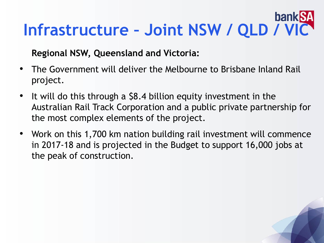# **Infrastructure – Joint NSW / QLD / VIC**

#### **Regional NSW, Queensland and Victoria:**

- The Government will deliver the Melbourne to Brisbane Inland Rail project.
- It will do this through a \$8.4 billion equity investment in the Australian Rail Track Corporation and a public private partnership for the most complex elements of the project.
- Work on this 1,700 km nation building rail investment will commence in 2017-18 and is projected in the Budget to support 16,000 jobs at the peak of construction.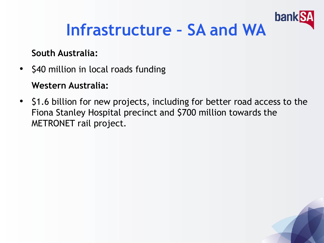

### **Infrastructure – SA and WA**

#### **South Australia:**

- \$40 million in local roads funding **Western Australia:**
- \$1.6 billion for new projects, including for better road access to the Fiona Stanley Hospital precinct and \$700 million towards the METRONET rail project.

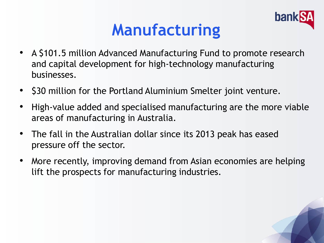

### **Manufacturing**

- A \$101.5 million Advanced Manufacturing Fund to promote research and capital development for high-technology manufacturing businesses.
- \$30 million for the Portland Aluminium Smelter joint venture.
- High-value added and specialised manufacturing are the more viable areas of manufacturing in Australia.
- The fall in the Australian dollar since its 2013 peak has eased pressure off the sector.
- More recently, improving demand from Asian economies are helping lift the prospects for manufacturing industries.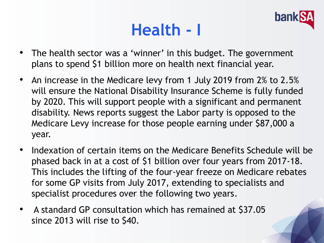### **Health - I**



- The health sector was a 'winner' in this budget. The government plans to spend \$1 billion more on health next financial year.
- An increase in the Medicare levy from 1 July 2019 from 2% to 2.5% will ensure the National Disability Insurance Scheme is fully funded by 2020. This will support people with a significant and permanent disability. News reports suggest the Labor party is opposed to the Medicare Levy increase for those people earning under \$87,000 a year.
- Indexation of certain items on the Medicare Benefits Schedule will be phased back in at a cost of \$1 billion over four years from 2017-18. This includes the lifting of the four-year freeze on Medicare rebates for some GP visits from July 2017, extending to specialists and specialist procedures over the following two years.
- A standard GP consultation which has remained at \$37.05 since 2013 will rise to \$40.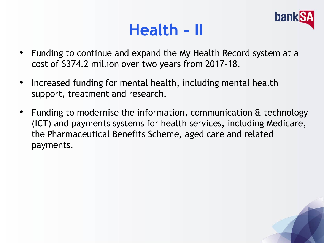### **Health - II**



- Funding to continue and expand the My Health Record system at a cost of \$374.2 million over two years from 2017-18.
- Increased funding for mental health, including mental health support, treatment and research.
- Funding to modernise the information, communication & technology (ICT) and payments systems for health services, including Medicare, the Pharmaceutical Benefits Scheme, aged care and related payments.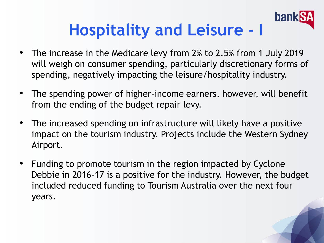# **Hospitality and Leisure - I**

ban

- The increase in the Medicare levy from 2% to 2.5% from 1 July 2019 will weigh on consumer spending, particularly discretionary forms of spending, negatively impacting the leisure/hospitality industry.
- The spending power of higher-income earners, however, will benefit from the ending of the budget repair levy.
- The increased spending on infrastructure will likely have a positive impact on the tourism industry. Projects include the Western Sydney Airport.
- Funding to promote tourism in the region impacted by Cyclone Debbie in 2016-17 is a positive for the industry. However, the budget included reduced funding to Tourism Australia over the next four years.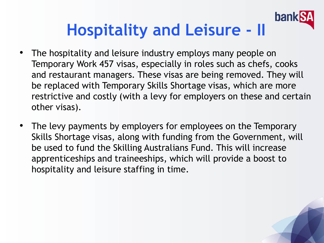#### **banl Hospitality and Leisure - II**

- The hospitality and leisure industry employs many people on Temporary Work 457 visas, especially in roles such as chefs, cooks and restaurant managers. These visas are being removed. They will be replaced with Temporary Skills Shortage visas, which are more restrictive and costly (with a levy for employers on these and certain other visas).
- The levy payments by employers for employees on the Temporary Skills Shortage visas, along with funding from the Government, will be used to fund the Skilling Australians Fund. This will increase apprenticeships and traineeships, which will provide a boost to hospitality and leisure staffing in time.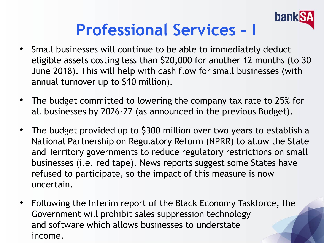

### **Professional Services - I**

- Small businesses will continue to be able to immediately deduct eligible assets costing less than \$20,000 for another 12 months (to 30 June 2018). This will help with cash flow for small businesses (with annual turnover up to \$10 million).
- The budget committed to lowering the company tax rate to 25% for all businesses by 2026-27 (as announced in the previous Budget).
- The budget provided up to \$300 million over two years to establish a National Partnership on Regulatory Reform (NPRR) to allow the State and Territory governments to reduce regulatory restrictions on small businesses (i.e. red tape). News reports suggest some States have refused to participate, so the impact of this measure is now uncertain.
- Following the Interim report of the Black Economy Taskforce, the Government will prohibit sales suppression technology and software which allows businesses to understate income.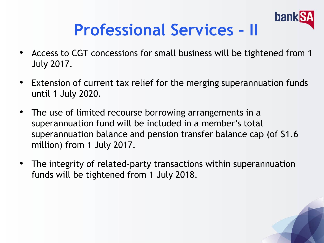# **Professional Services - II**

bank

- Access to CGT concessions for small business will be tightened from 1 July 2017.
- Extension of current tax relief for the merging superannuation funds until 1 July 2020.
- The use of limited recourse borrowing arrangements in a superannuation fund will be included in a member's total superannuation balance and pension transfer balance cap (of \$1.6 million) from 1 July 2017.
- The integrity of related-party transactions within superannuation funds will be tightened from 1 July 2018.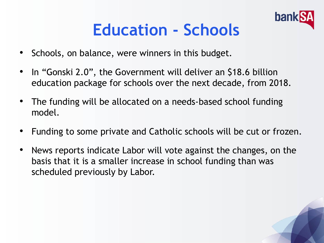

### **Education - Schools**

- Schools, on balance, were winners in this budget.
- In "Gonski 2.0", the Government will deliver an \$18.6 billion education package for schools over the next decade, from 2018.
- The funding will be allocated on a needs-based school funding model.
- Funding to some private and Catholic schools will be cut or frozen.
- News reports indicate Labor will vote against the changes, on the basis that it is a smaller increase in school funding than was scheduled previously by Labor.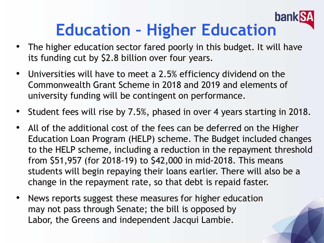#### **banl Education – Higher Education**

- The higher education sector fared poorly in this budget. It will have its funding cut by \$2.8 billion over four years.
- Universities will have to meet a 2.5% efficiency dividend on the Commonwealth Grant Scheme in 2018 and 2019 and elements of university funding will be contingent on performance.
- Student fees will rise by 7.5%, phased in over 4 years starting in 2018.
- All of the additional cost of the fees can be deferred on the Higher Education Loan Program (HELP) scheme. The Budget included changes to the HELP scheme, including a reduction in the repayment threshold from \$51,957 (for 2018-19) to \$42,000 in mid-2018. This means students will begin repaying their loans earlier. There will also be a change in the repayment rate, so that debt is repaid faster.
- News reports suggest these measures for higher education may not pass through Senate; the bill is opposed by Labor, the Greens and independent Jacqui Lambie.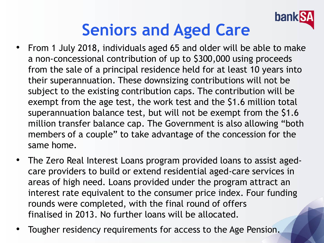

### **Seniors and Aged Care**

- From 1 July 2018, individuals aged 65 and older will be able to make a non-concessional contribution of up to \$300,000 using proceeds from the sale of a principal residence held for at least 10 years into their superannuation. These downsizing contributions will not be subject to the existing contribution caps. The contribution will be exempt from the age test, the work test and the \$1.6 million total superannuation balance test, but will not be exempt from the \$1.6 million transfer balance cap. The Government is also allowing "both members of a couple" to take advantage of the concession for the same home.
- The Zero Real Interest Loans program provided loans to assist agedcare providers to build or extend residential aged-care services in areas of high need. Loans provided under the program attract an interest rate equivalent to the consumer price index. Four funding rounds were completed, with the final round of offers finalised in 2013. No further loans will be allocated.
- Tougher residency requirements for access to the Age Pension.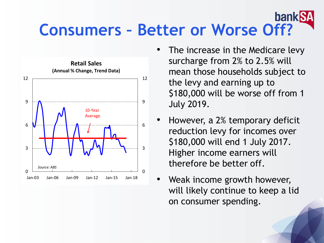#### **bankk Consumers – Better or Worse Off?**



- The increase in the Medicare levy surcharge from 2% to 2.5% will mean those households subject to the levy and earning up to \$180,000 will be worse off from 1 July 2019.
- However, a 2% temporary deficit reduction levy for incomes over \$180,000 will end 1 July 2017. Higher income earners will therefore be better off.
- Weak income growth however, will likely continue to keep a lid on consumer spending.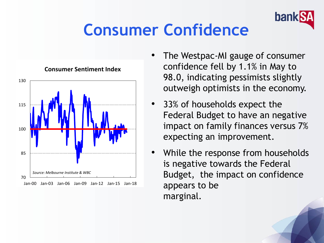

### **Consumer Confidence**



#### **Consumer Sentiment Index**

- The Westpac-MI gauge of consumer confidence fell by 1.1% in May to 98.0, indicating pessimists slightly outweigh optimists in the economy.
- 33% of households expect the Federal Budget to have an negative impact on family finances versus 7% expecting an improvement.
- While the response from households is negative towards the Federal Budget, the impact on confidence appears to be marginal.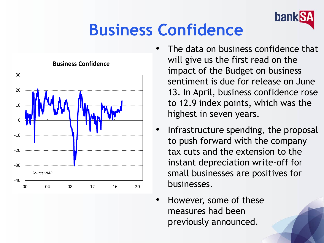

### **Business Confidence**



#### **Business Confidence**

- The data on business confidence that will give us the first read on the impact of the Budget on business sentiment is due for release on June 13. In April, business confidence rose to 12.9 index points, which was the highest in seven years.
- Infrastructure spending, the proposal to push forward with the company tax cuts and the extension to the instant depreciation write-off for small businesses are positives for businesses.
- However, some of these measures had been previously announced.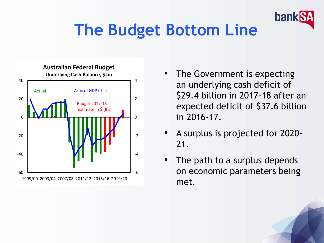

## **The Budget Bottom Line**



- The Government is expecting an underlying cash deficit of \$29.4 billion in 2017-18 after an expected deficit of \$37.6 billion in 2016-17.
- A surplus is projected for 2020- 21.
- The path to a surplus depends on economic parameters being met.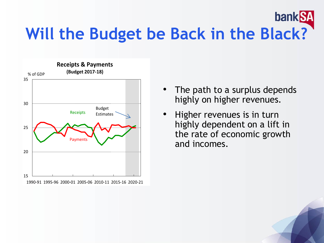#### bank SA **Will the Budget be Back in the Black?**



- The path to a surplus depends highly on higher revenues.
- Higher revenues is in turn highly dependent on a lift in the rate of economic growth and incomes.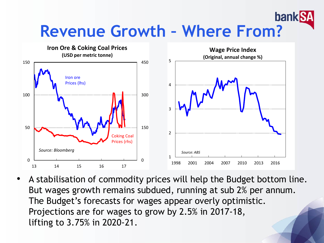#### bank **Revenue Growth – Where From?**



• A stabilisation of commodity prices will help the Budget bottom line. But wages growth remains subdued, running at sub 2% per annum. The Budget's forecasts for wages appear overly optimistic. Projections are for wages to grow by 2.5% in 2017-18, lifting to 3.75% in 2020-21.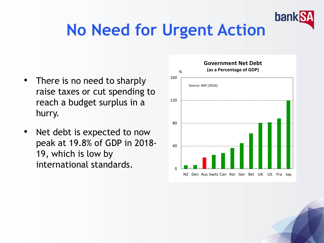

### **No Need for Urgent Action**

- There is no need to sharply raise taxes or cut spending to reach a budget surplus in a hurry.
- Net debt is expected to now peak at 19.8% of GDP in 2018- 19, which is low by international standards.

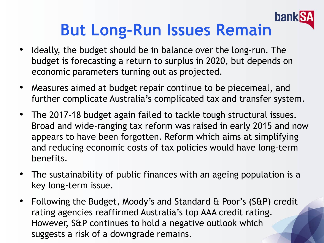#### **bank But Long-Run Issues Remain**

- Ideally, the budget should be in balance over the long-run. The budget is forecasting a return to surplus in 2020, but depends on economic parameters turning out as projected.
- Measures aimed at budget repair continue to be piecemeal, and further complicate Australia's complicated tax and transfer system.
- The 2017-18 budget again failed to tackle tough structural issues. Broad and wide-ranging tax reform was raised in early 2015 and now appears to have been forgotten. Reform which aims at simplifying and reducing economic costs of tax policies would have long-term benefits.
- The sustainability of public finances with an ageing population is a key long-term issue.
- Following the Budget, Moody's and Standard & Poor's (S&P) credit rating agencies reaffirmed Australia's top AAA credit rating. However, S&P continues to hold a negative outlook which suggests a risk of a downgrade remains.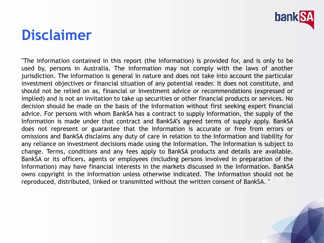

#### **Disclaimer**

"The information contained in this report (the Information) is provided for, and is only to be used by, persons in Australia. The information may not comply with the laws of another jurisdiction. The Information is general in nature and does not take into account the particular investment objectives or financial situation of any potential reader. It does not constitute, and should not be relied on as, financial or investment advice or recommendations (expressed or implied) and is not an invitation to take up securities or other financial products or services. No decision should be made on the basis of the Information without first seeking expert financial advice. For persons with whom BankSA has a contract to supply Information, the supply of the Information is made under that contract and BankSA's agreed terms of supply apply. BankSA does not represent or guarantee that the Information is accurate or free from errors or omissions and BankSA disclaims any duty of care in relation to the Information and liability for any reliance on investment decisions made using the Information. The Information is subject to change. Terms, conditions and any fees apply to BankSA products and details are available. BankSA or its officers, agents or employees (including persons involved in preparation of the Information) may have financial interests in the markets discussed in the Information. BankSA owns copyright in the Information unless otherwise indicated. The Information should not be reproduced, distributed, linked or transmitted without the written consent of BankSA. "